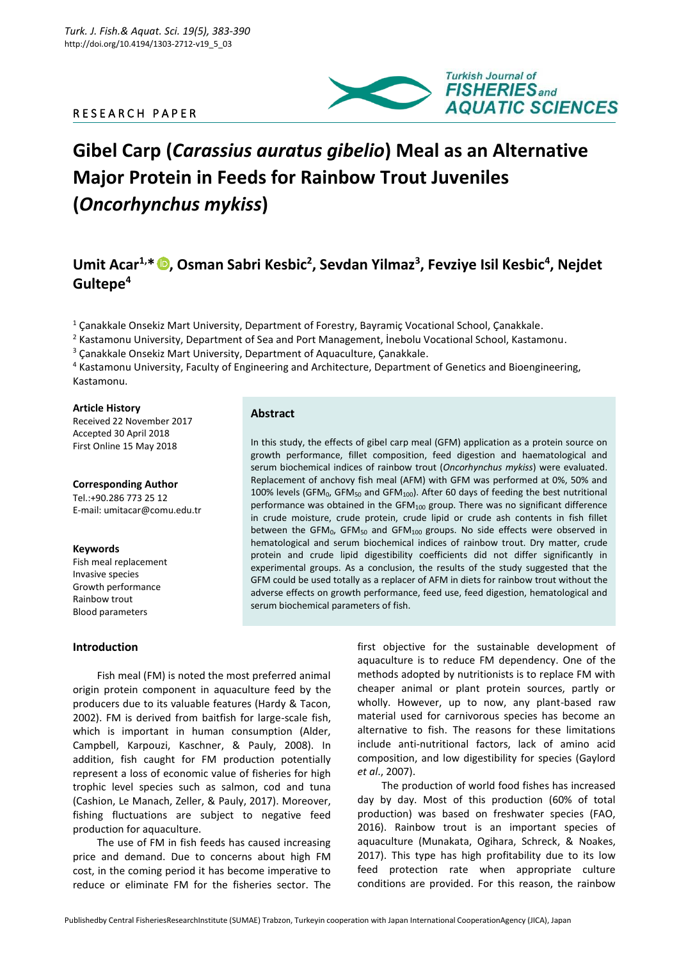# R E S E A R C H P A P E R



# **Gibel Carp (***Carassius auratus gibelio***) Meal as an Alternative Major Protein in Feeds for Rainbow Trout Juveniles (***Oncorhynchus mykiss***)**

# **Umit Acar1,\* , Osman Sabri Kesbic<sup>2</sup> , Sevdan Yilmaz<sup>3</sup> , Fevziye Isil Kesbic<sup>4</sup> , Nejdet Gultepe<sup>4</sup>**

<sup>1</sup> Çanakkale Onsekiz Mart University, Department of Forestry, Bayramiç Vocational School, Çanakkale.

<sup>2</sup> Kastamonu University, Department of Sea and Port Management, İnebolu Vocational School, Kastamonu.

<sup>3</sup> Canakkale Onsekiz Mart University, Department of Aquaculture, Çanakkale.

<sup>4</sup> Kastamonu University, Faculty of Engineering and Architecture, Department of Genetics and Bioengineering, Kastamonu.

# **Article History**

Received 22 November 2017 Accepted 30 April 2018 First Online 15 May 2018

# **Corresponding Author**

Tel.:+90.286 773 25 12 E-mail: umitacar@comu.edu.tr

# **Keywords**

Fish meal replacement Invasive species Growth performance Rainbow trout Blood parameters

**Introduction**  Fish meal (FM) is noted the most preferred animal origin protein component in aquaculture feed by the producers due to its valuable features (Hardy & Tacon, 2002). FM is derived from baitfish for large-scale fish, which is important in human consumption (Alder, Campbell, Karpouzi, Kaschner, & Pauly, 2008). In addition, fish caught for FM production potentially represent a loss of economic value of fisheries for high trophic level species such as salmon, cod and tuna

(Cashion, Le Manach, Zeller, & Pauly, 2017). Moreover, fishing fluctuations are subject to negative feed production for aquaculture.

The use of FM in fish feeds has caused increasing price and demand. Due to concerns about high FM cost, in the coming period it has become imperative to reduce or eliminate FM for the fisheries sector. The

# **Abstract**

In this study, the effects of gibel carp meal (GFM) application as a protein source on growth performance, fillet composition, feed digestion and haematological and serum biochemical indices of rainbow trout (*Oncorhynchus mykiss*) were evaluated. Replacement of anchovy fish meal (AFM) with GFM was performed at 0%, 50% and 100% levels (GFM<sub>0</sub>, GFM<sub>50</sub> and GFM<sub>100</sub>). After 60 days of feeding the best nutritional performance was obtained in the  $GFM_{100}$  group. There was no significant difference in crude moisture, crude protein, crude lipid or crude ash contents in fish fillet between the GFM<sub>0</sub>, GFM<sub>50</sub> and GFM<sub>100</sub> groups. No side effects were observed in hematological and serum biochemical indices of rainbow trout. Dry matter, crude protein and crude lipid digestibility coefficients did not differ significantly in experimental groups. As a conclusion, the results of the study suggested that the GFM could be used totally as a replacer of AFM in diets for rainbow trout without the adverse effects on growth performance, feed use, feed digestion, hematological and serum biochemical parameters of fish.

> first objective for the sustainable development of aquaculture is to reduce FM dependency. One of the methods adopted by nutritionists is to replace FM with cheaper animal or plant protein sources, partly or wholly. However, up to now, any plant-based raw material used for carnivorous species has become an alternative to fish. The reasons for these limitations include anti-nutritional factors, lack of amino acid composition, and low digestibility for species (Gaylord *et al*., 2007).

> The production of world food fishes has increased day by day. Most of this production (60% of total production) was based on freshwater species (FAO, 2016). Rainbow trout is an important species of aquaculture (Munakata, Ogihara, Schreck, & Noakes, 2017). This type has high profitability due to its low feed protection rate when appropriate culture conditions are provided. For this reason, the rainbow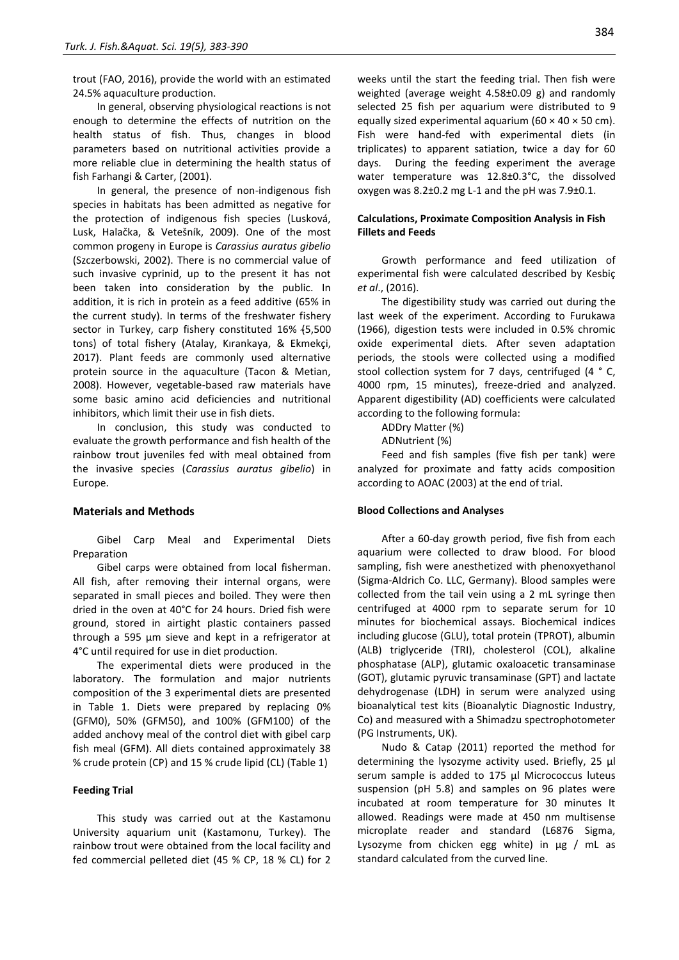trout (FAO, 2016), provide the world with an estimated 24.5% aquaculture production.

In general, observing physiological reactions is not enough to determine the effects of nutrition on the health status of fish. Thus, changes in blood parameters based on nutritional activities provide a more reliable clue in determining the health status of fish Farhangi & Carter, (2001).

In general, the presence of non-indigenous fish species in habitats has been admitted as negative for the protection of indigenous fish species (Lusková, Lusk, Halačka, & Vetešník, 2009). One of the most common progeny in Europe is *Carassius auratus gibelio* (Szczerbowski, 2002). There is no commercial value of such invasive cyprinid, up to the present it has not been taken into consideration by the public. In addition, it is rich in protein as a feed additive (65% in the current study). In terms of the freshwater fishery sector in Turkey, carp fishery constituted 16% {5,500 tons) of total fishery (Atalay, Kırankaya, & Ekmekçi, 2017). Plant feeds are commonly used alternative protein source in the aquaculture (Tacon & Metian, 2008). However, vegetable-based raw materials have some basic amino acid deficiencies and nutritional inhibitors, which limit their use in fish diets.

In conclusion, this study was conducted to evaluate the growth performance and fish health of the rainbow trout juveniles fed with meal obtained from the invasive species (*Carassius auratus gibelio*) in Europe.

# **Materials and Methods**

Gibel Carp Meal and Experimental Diets Preparation

Gibel carps were obtained from local fisherman. All fish, after removing their internal organs, were separated in small pieces and boiled. They were then dried in the oven at 40°C for 24 hours. Dried fish were ground, stored in airtight plastic containers passed through a 595 μm sieve and kept in a refrigerator at 4°C until required for use in diet production.

The experimental diets were produced in the laboratory. The formulation and major nutrients composition of the 3 experimental diets are presented in Table 1. Diets were prepared by replacing 0% (GFM0), 50% (GFM50), and 100% (GFM100) of the added anchovy meal of the control diet with gibel carp fish meal (GFM). All diets contained approximately 38 % crude protein (CP) and 15 % crude lipid (CL) (Table 1)

# **Feeding Trial**

This study was carried out at the Kastamonu University aquarium unit (Kastamonu, Turkey). The rainbow trout were obtained from the local facility and fed commercial pelleted diet (45 % CP, 18 % CL) for 2 weeks until the start the feeding trial. Then fish were weighted (average weight 4.58±0.09 g) and randomly selected 25 fish per aquarium were distributed to 9 equally sized experimental aquarium (60  $\times$  40  $\times$  50 cm). Fish were hand-fed with experimental diets (in triplicates) to apparent satiation, twice a day for 60 days. During the feeding experiment the average water temperature was 12.8±0.3°C, the dissolved oxygen was 8.2±0.2 mg L-1 and the pH was 7.9±0.1.

# **Calculations, Proximate Composition Analysis in Fish Fillets and Feeds**

Growth performance and feed utilization of experimental fish were calculated described by Kesbiç *et al*., (2016).

The digestibility study was carried out during the last week of the experiment. According to Furukawa (1966), digestion tests were included in 0.5% chromic oxide experimental diets. After seven adaptation periods, the stools were collected using a modified stool collection system for 7 days, centrifuged (4 ° C, 4000 rpm, 15 minutes), freeze-dried and analyzed. Apparent digestibility (AD) coefficients were calculated according to the following formula:

ADDry Matter (%)

ADNutrient (%)

Feed and fish samples (five fish per tank) were analyzed for proximate and fatty acids composition according to AOAC (2003) at the end of trial.

# **Blood Collections and Analyses**

After a 60-day growth period, five fish from each aquarium were collected to draw blood. For blood sampling, fish were anesthetized with phenoxyethanol (Sigma-AIdrich Co. LLC, Germany). Blood samples were collected from the tail vein using a 2 mL syringe then centrifuged at 4000 rpm to separate serum for 10 minutes for biochemical assays. Biochemical indices including glucose (GLU), total protein (TPROT), albumin (ALB) triglyceride (TRI), cholesterol (COL), alkaline phosphatase (ALP), glutamic oxaloacetic transaminase (GOT), glutamic pyruvic transaminase (GPT) and lactate dehydrogenase (LDH) in serum were analyzed using bioanalytical test kits (Bioanalytic Diagnostic Industry, Co) and measured with a Shimadzu spectrophotometer (PG Instruments, UK).

Nudo & Catap (2011) reported the method for determining the lysozyme activity used. Briefly, 25 μl serum sample is added to 175 μl Micrococcus luteus suspension (pH 5.8) and samples on 96 plates were incubated at room temperature for 30 minutes It allowed. Readings were made at 450 nm multisense microplate reader and standard (L6876 Sigma, Lysozyme from chicken egg white) in μg / mL as standard calculated from the curved line.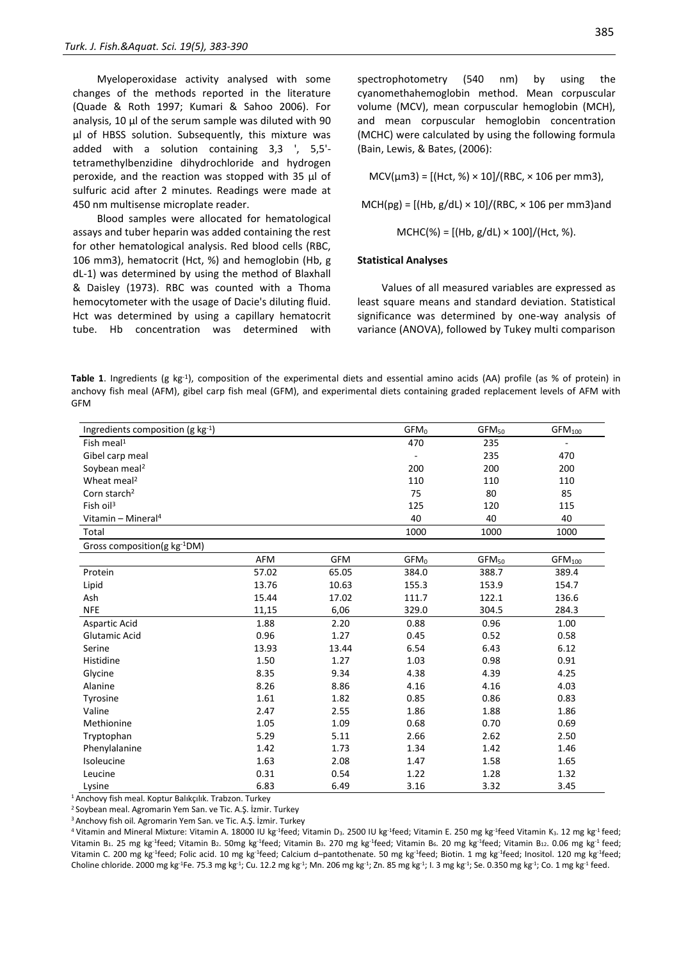Myeloperoxidase activity analysed with some changes of the methods reported in the literature (Quade & Roth 1997; Kumari & Sahoo 2006). For analysis, 10 μl of the serum sample was diluted with 90 μl of HBSS solution. Subsequently, this mixture was added with a solution containing 3,3 ', 5,5' tetramethylbenzidine dihydrochloride and hydrogen peroxide, and the reaction was stopped with 35 μl of sulfuric acid after 2 minutes. Readings were made at 450 nm multisense microplate reader.

Blood samples were allocated for hematological assays and tuber heparin was added containing the rest for other hematological analysis. Red blood cells (RBC, 106 mm3), hematocrit (Hct, %) and hemoglobin (Hb, g dL-1) was determined by using the method of Blaxhall & Daisley (1973). RBC was counted with a Thoma hemocytometer with the usage of Dacie's diluting fluid. Hct was determined by using a capillary hematocrit tube. Hb concentration was determined with spectrophotometry (540 nm) by using the cyanomethahemoglobin method. Mean corpuscular volume (MCV), mean corpuscular hemoglobin (MCH), and mean corpuscular hemoglobin concentration (MCHC) were calculated by using the following formula (Bain, Lewis, & Bates, (2006):

 $MCV(\mu m3) = [(Hct, %) \times 10]/(RBC, \times 106 \text{ per mm3}),$ 

 $MCH(pg) = [(Hb, g/dL) \times 10]/(RBC, \times 106$  per mm3)and

MCHC(%) = [(Hb, g/dL) × 100]/(Hct, %).

#### **Statistical Analyses**

Values of all measured variables are expressed as least square means and standard deviation. Statistical significance was determined by one-way analysis of variance (ANOVA), followed by Tukey multi comparison

Table 1. Ingredients (g kg<sup>-1</sup>), composition of the experimental diets and essential amino acids (AA) profile (as % of protein) in anchovy fish meal (AFM), gibel carp fish meal (GFM), and experimental diets containing graded replacement levels of AFM with GFM

| Ingredients composition (g $kg^{-1}$ ) |       |            | GFM <sub>0</sub>         | GFM <sub>50</sub> | GFM <sub>100</sub> |
|----------------------------------------|-------|------------|--------------------------|-------------------|--------------------|
| Fish meal $\overline{1}$               |       |            | 470                      | 235               |                    |
| Gibel carp meal                        |       |            | $\overline{\phantom{a}}$ | 235               | 470                |
| Soybean meal <sup>2</sup>              |       |            | 200                      | 200               | 200                |
| Wheat meal <sup>2</sup>                |       |            | 110                      | 110               | 110                |
| Corn starch <sup>2</sup>               |       |            | 75                       | 80                | 85                 |
| Fish $\sigma$ il <sup>3</sup>          |       |            | 125                      | 120               | 115                |
| Vitamin – Mineral <sup>4</sup>         |       |            | 40                       | 40                | 40                 |
| Total                                  |       |            | 1000                     | 1000              | 1000               |
| Gross composition(g kg-1DM)            |       |            |                          |                   |                    |
|                                        | AFM   | <b>GFM</b> | GFM <sub>0</sub>         | GFM <sub>50</sub> | GFM <sub>100</sub> |
| Protein                                | 57.02 | 65.05      | 384.0                    | 388.7             | 389.4              |
| Lipid                                  | 13.76 | 10.63      | 155.3                    | 153.9             | 154.7              |
| Ash                                    | 15.44 | 17.02      | 111.7                    | 122.1             | 136.6              |
| <b>NFE</b>                             | 11,15 | 6,06       | 329.0                    | 304.5             | 284.3              |
| Aspartic Acid                          | 1.88  | 2.20       | 0.88                     | 0.96              | 1.00               |
| Glutamic Acid                          | 0.96  | 1.27       | 0.45                     | 0.52              | 0.58               |
| Serine                                 | 13.93 | 13.44      | 6.54                     | 6.43              | 6.12               |
| Histidine                              | 1.50  | 1.27       | 1.03                     | 0.98              | 0.91               |
| Glycine                                | 8.35  | 9.34       | 4.38                     | 4.39              | 4.25               |
| Alanine                                | 8.26  | 8.86       | 4.16                     | 4.16              | 4.03               |
| Tyrosine                               | 1.61  | 1.82       | 0.85                     | 0.86              | 0.83               |
| Valine                                 | 2.47  | 2.55       | 1.86                     | 1.88              | 1.86               |
| Methionine                             | 1.05  | 1.09       | 0.68                     | 0.70              | 0.69               |
| Tryptophan                             | 5.29  | 5.11       | 2.66                     | 2.62              | 2.50               |
| Phenylalanine                          | 1.42  | 1.73       | 1.34                     | 1.42              | 1.46               |
| Isoleucine                             | 1.63  | 2.08       | 1.47                     | 1.58              | 1.65               |
| Leucine                                | 0.31  | 0.54       | 1.22                     | 1.28              | 1.32               |
| Lysine                                 | 6.83  | 6.49       | 3.16                     | 3.32              | 3.45               |

<sup>1</sup> Anchovy fish meal. Koptur Balıkçılık. Trabzon. Turkey

<sup>2</sup> Soybean meal. Agromarin Yem San. ve Tic. A.Ş. İzmir. Turkey

<sup>3</sup> Anchovy fish oil. Agromarin Yem San. ve Tic. A.Ş. İzmir. Turkey

<sup>4</sup> Vitamin and Mineral Mixture: Vitamin A. 18000 IU kg<sup>1</sup>feed; Vitamin D<sub>3</sub>. 2500 IU kg<sup>1</sup>feed; Vitamin E. 250 mg kg<sup>1</sup>feed Vitamin K<sub>3</sub>. 12 mg kg<sup>1</sup>feed; Vitamin B<sub>1</sub>. 25 mg kg<sup>-1</sup>feed; Vitamin B<sub>2</sub>. 50mg kg<sup>-1</sup>feed; Vitamin B<sub>3</sub>. 270 mg kg<sup>-1</sup>feed; Vitamin B<sub>6</sub>. 20 mg kg<sup>-1</sup>feed; Vitamin B<sub>12</sub>. 0.06 mg kg<sup>-1</sup>feed; Vitamin C. 200 mg kg<sup>-1</sup>feed; Folic acid. 10 mg kg<sup>-1</sup>feed; Calcium d–pantothenate. 50 mg kg<sup>-1</sup>feed; Biotin. 1 mg kg<sup>-1</sup>feed; Inositol. 120 mg kg<sup>-1</sup>feed; Choline chloride. 2000 mg kg<sup>-1</sup>Fe. 75.3 mg kg<sup>-1</sup>; Cu. 12.2 mg kg<sup>-1</sup>; Mn. 206 mg kg<sup>-1</sup>; Zn. 85 mg kg<sup>-1</sup>; 1.3 mg kg<sup>-1</sup>; Se. 0.350 mg kg<sup>-1</sup>; Co. 1 mg kg<sup>-1</sup> feed.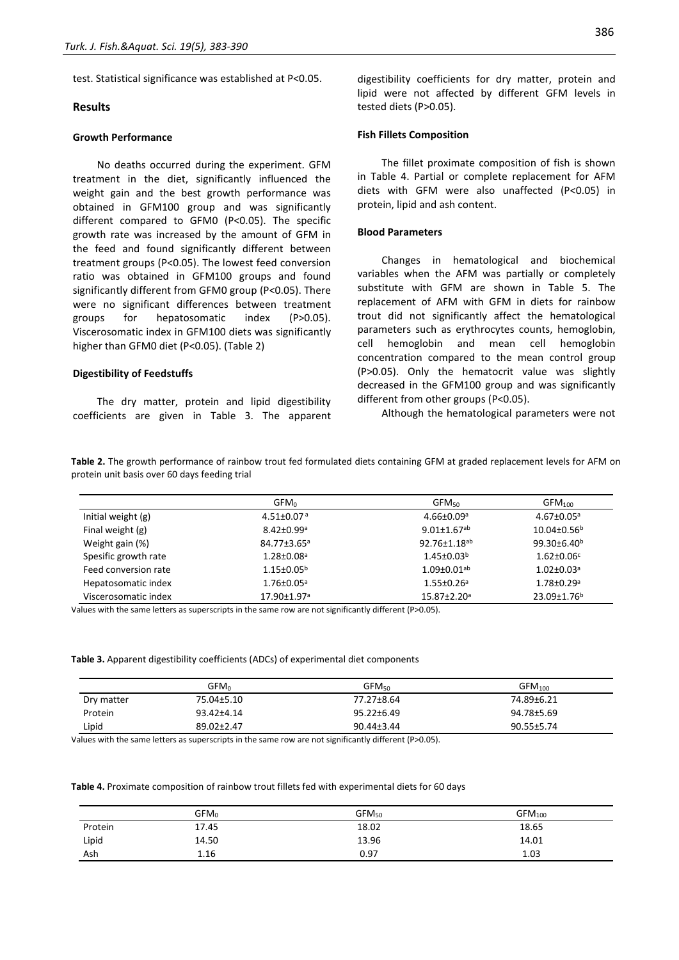test. Statistical significance was established at P<0.05.

# **Results**

# **Growth Performance**

No deaths occurred during the experiment. GFM treatment in the diet, significantly influenced the weight gain and the best growth performance was obtained in GFM100 group and was significantly different compared to GFM0 (P<0.05). The specific growth rate was increased by the amount of GFM in the feed and found significantly different between treatment groups (P<0.05). The lowest feed conversion ratio was obtained in GFM100 groups and found significantly different from GFM0 group (P<0.05). There were no significant differences between treatment groups for hepatosomatic index (P>0.05). Viscerosomatic index in GFM100 diets was significantly higher than GFM0 diet (P<0.05). (Table 2)

# **Digestibility of Feedstuffs**

The dry matter, protein and lipid digestibility coefficients are given in Table 3. The apparent

# **Fish Fillets Composition**

tested diets (P>0.05).

The fillet proximate composition of fish is shown in Table 4. Partial or complete replacement for AFM diets with GFM were also unaffected (P<0.05) in protein, lipid and ash content.

# **Blood Parameters**

Changes in hematological and biochemical variables when the AFM was partially or completely substitute with GFM are shown in Table 5. The replacement of AFM with GFM in diets for rainbow trout did not significantly affect the hematological parameters such as erythrocytes counts, hemoglobin, cell hemoglobin and mean cell hemoglobin concentration compared to the mean control group (P>0.05). Only the hematocrit value was slightly decreased in the GFM100 group and was significantly different from other groups (P<0.05).

Although the hematological parameters were not

**Table 2.** The growth performance of rainbow trout fed formulated diets containing GFM at graded replacement levels for AFM on protein unit basis over 60 days feeding trial

|                      | GFM <sub>0</sub>             | GFM <sub>50</sub>             | GFM <sub>100</sub>           |
|----------------------|------------------------------|-------------------------------|------------------------------|
| Initial weight $(g)$ | $4.51 \pm 0.07$ <sup>a</sup> | $4.66 \pm 0.09$ <sup>a</sup>  | $4.67 \pm 0.05$ <sup>a</sup> |
| Final weight (g)     | $8.42 \pm 0.99$ <sup>a</sup> | $9.01 \pm 1.67$ <sup>ab</sup> | $10.04 \pm 0.56^{\circ}$     |
| Weight gain (%)      | 84.77±3.65ª                  | 92.76±1.18 <sup>ab</sup>      | $99.30 \pm 6.40^b$           |
| Spesific growth rate | $1.28 \pm 0.08$ <sup>a</sup> | $1.45 \pm 0.03^b$             | $1.62 \pm 0.06$ <sup>c</sup> |
| Feed conversion rate | $1.15 \pm 0.05^{\rm b}$      | $1.09 \pm 0.01$ <sup>ab</sup> | $1.02 \pm 0.03$ <sup>a</sup> |
| Hepatosomatic index  | $1.76 \pm 0.05^{\circ}$      | $1.55 \pm 0.26$ <sup>a</sup>  | $1.78 \pm 0.29$ <sup>a</sup> |
| Viscerosomatic index | 17.90±1.97ª                  | 15.87±2.20 <sup>a</sup>       | 23.09±1.76 <sup>b</sup>      |

Values with the same letters as superscripts in the same row are not significantly different (P>0.05).

# **Table 3.** Apparent digestibility coefficients (ADCs) of experimental diet components

|            | GFM <sub>0</sub> | GFM <sub>50</sub> | GFM <sub>100</sub> |
|------------|------------------|-------------------|--------------------|
| Dry matter | 75.04±5.10       | 77.27±8.64        | 74.89±6.21         |
| Protein    | 93.42±4.14       | $95.22 \pm 6.49$  | 94.78±5.69         |
| Lipid      | 89.02±2.47       | 90.44±3.44        | 90.55±5.74         |

Values with the same letters as superscripts in the same row are not significantly different (P>0.05).

#### **Table 4.** Proximate composition of rainbow trout fillets fed with experimental diets for 60 days

|         | ${\sf GFM}_0$ | GFM <sub>50</sub> | GFM <sub>100</sub> |
|---------|---------------|-------------------|--------------------|
| Protein | 17.45         | 18.02             | 18.65              |
| Lipid   | 14.50         | 13.96             | 14.01              |
| Ash     | 1.16          | 0.97              | 1.03               |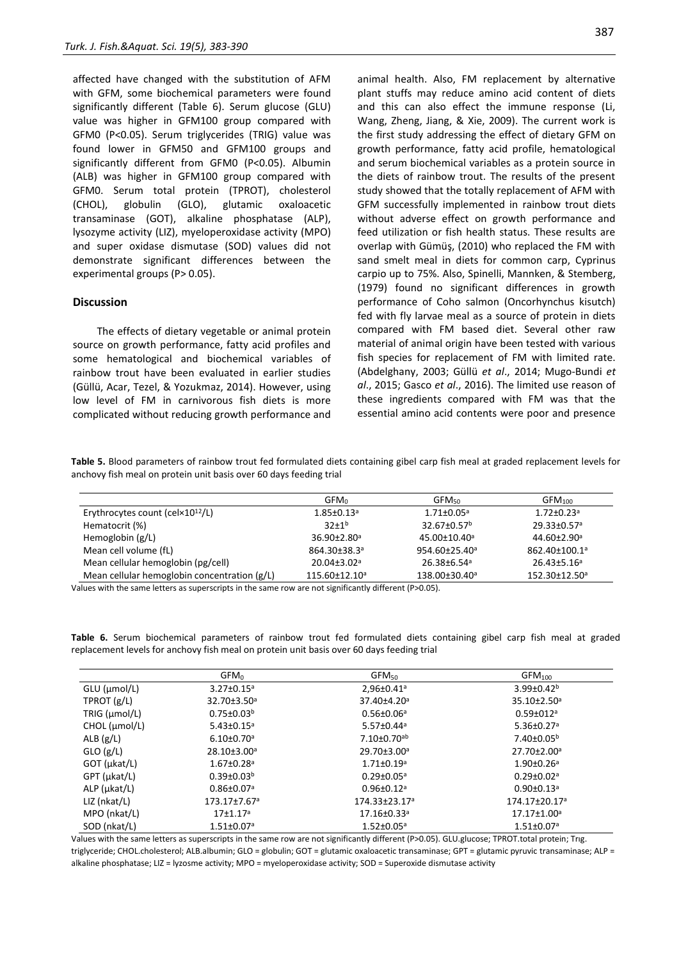affected have changed with the substitution of AFM with GFM, some biochemical parameters were found significantly different (Table 6). Serum glucose (GLU) value was higher in GFM100 group compared with GFM0 (P<0.05). Serum triglycerides (TRIG) value was found lower in GFM50 and GFM100 groups and significantly different from GFM0 (P<0.05). Albumin (ALB) was higher in GFM100 group compared with GFM0. Serum total protein (TPROT), cholesterol (CHOL), globulin (GLO), glutamic oxaloacetic transaminase (GOT), alkaline phosphatase (ALP), lysozyme activity (LIZ), myeloperoxidase activity (MPO) and super oxidase dismutase (SOD) values did not demonstrate significant differences between the experimental groups (P> 0.05).

# **Discussion**

The effects of dietary vegetable or animal protein source on growth performance, fatty acid profiles and some hematological and biochemical variables of rainbow trout have been evaluated in earlier studies (Güllü, Acar, Tezel, & Yozukmaz, 2014). However, using low level of FM in carnivorous fish diets is more complicated without reducing growth performance and animal health. Also, FM replacement by alternative plant stuffs may reduce amino acid content of diets and this can also effect the immune response (Li, Wang, Zheng, Jiang, & Xie, 2009). The current work is the first study addressing the effect of dietary GFM on growth performance, fatty acid profile, hematological and serum biochemical variables as a protein source in the diets of rainbow trout. The results of the present study showed that the totally replacement of AFM with GFM successfully implemented in rainbow trout diets without adverse effect on growth performance and feed utilization or fish health status. These results are overlap with Gümüş, (2010) who replaced the FM with sand smelt meal in diets for common carp, Cyprinus carpio up to 75%. Also, Spinelli, Mannken, & Stemberg, (1979) found no significant differences in growth performance of Coho salmon (Oncorhynchus kisutch)

fed with fly larvae meal as a source of protein in diets compared with FM based diet. Several other raw material of animal origin have been tested with various fish species for replacement of FM with limited rate. (Abdelghany, 2003; Güllü *et al*., 2014; Mugo-Bundi *et al*., 2015; Gasco *et al*., 2016). The limited use reason of these ingredients compared with FM was that the essential amino acid contents were poor and presence

**Table 5.** Blood parameters of rainbow trout fed formulated diets containing gibel carp fish meal at graded replacement levels for anchovy fish meal on protein unit basis over 60 days feeding trial

|                                                       | GFM <sub>0</sub>              | GFM <sub>50</sub>             | GFM <sub>100</sub>           |
|-------------------------------------------------------|-------------------------------|-------------------------------|------------------------------|
| Erythrocytes count (cel $\times$ 10 <sup>12</sup> /L) | $1.85 \pm 0.13$ <sup>a</sup>  | $1.71 \pm 0.05$ <sup>a</sup>  | $1.72 \pm 0.23$ <sup>a</sup> |
| Hematocrit (%)                                        | $32+1^{b}$                    | $32.67 \pm 0.57^b$            | 29.33±0.57 <sup>a</sup>      |
| Hemoglobin $(g/L)$                                    | $36.90 \pm 2.80$ <sup>a</sup> | 45.00±10.40 <sup>a</sup>      | 44.60±2.90 <sup>a</sup>      |
| Mean cell volume (fL)                                 | 864.30±38.3ª                  | $954.60 \pm 25.40^a$          | 862.40±100.1ª                |
| Mean cellular hemoglobin (pg/cell)                    | $20.04 \pm 3.02$ <sup>a</sup> | $26.38 \pm 6.54$ <sup>a</sup> | $26.43 \pm 5.16^a$           |
| Mean cellular hemoglobin concentration (g/L)          | 115.60±12.10 <sup>a</sup>     | 138.00±30.40 <sup>a</sup>     | 152.30±12.50 <sup>a</sup>    |

Values with the same letters as superscripts in the same row are not significantly different (P>0.05).

**Table 6.** Serum biochemical parameters of rainbow trout fed formulated diets containing gibel carp fish meal at graded replacement levels for anchovy fish meal on protein unit basis over 60 days feeding trial

|                      | $GFM_0$                      | GFM <sub>50</sub>               | GFM <sub>100</sub>           |
|----------------------|------------------------------|---------------------------------|------------------------------|
| GLU (µmol/L)         | $3.27 \pm 0.15^a$            | 2,96±0.41 <sup>a</sup>          | $3.99 \pm 0.42^b$            |
| TPROT $(g/L)$        | 32.70±3.50 <sup>a</sup>      | 37.40±4.20 <sup>a</sup>         | $35.10 \pm 2.50^a$           |
| TRIG (µmol/L)        | $0.75 \pm 0.03^b$            | $0.56 \pm 0.06^{\circ}$         | $0.59 \pm 012$ <sup>a</sup>  |
| CHOL (µmol/L)        | $5.43 \pm 0.15^a$            | $5.57 \pm 0.44$ <sup>a</sup>    | $5.36 \pm 0.27$ <sup>a</sup> |
| ALB $(g/L)$          | $6.10 \pm 0.70$ <sup>a</sup> | $7.10\pm0.70^{ab}$              | $7.40{\pm}0.05^{\rm b}$      |
| $GLO$ (g/L)          | 28.10±3.00 <sup>a</sup>      | 29.70±3.00 <sup>a</sup>         | 27.70±2.00 <sup>a</sup>      |
| GOT (µkat/L)         | $1.67 \pm 0.28$ <sup>a</sup> | $1.71 \pm 0.19$ <sup>a</sup>    | $1.90 \pm 0.26$ <sup>a</sup> |
| GPT (µkat/L)         | $0.39 \pm 0.03^b$            | $0.29 \pm 0.05$ <sup>a</sup>    | $0.29 \pm 0.02$ <sup>a</sup> |
| $ALP$ ( $\mu$ kat/L) | $0.86 \pm 0.07$ <sup>a</sup> | $0.96 \pm 0.12$ <sup>a</sup>    | $0.90 \pm 0.13$ <sup>a</sup> |
| $LIZ$ (nkat/L)       | 173.17±7.67ª                 | $174.33 \pm 23.17$ <sup>a</sup> | 174.17±20.17ª                |
| MPO (nkat/L)         | $17+1.17a$                   | $17.16 \pm 0.33$ <sup>a</sup>   | $17.17 \pm 1.00^a$           |
| SOD (nkat/L)         | $1.51 \pm 0.07$ <sup>a</sup> | $1.52 \pm 0.05^a$               | $1.51 \pm 0.07$ <sup>a</sup> |

Values with the same letters as superscripts in the same row are not significantly different (P>0.05). GLU.glucose; TPROT.total protein; Trıg. triglyceride; CHOL.cholesterol; ALB.albumin; GLO = globulin; GOT = glutamic oxaloacetic transaminase; GPT = glutamic pyruvic transaminase; ALP = alkaline phosphatase; LIZ = lyzosme activity; MPO = myeloperoxidase activity; SOD = Superoxide dismutase activity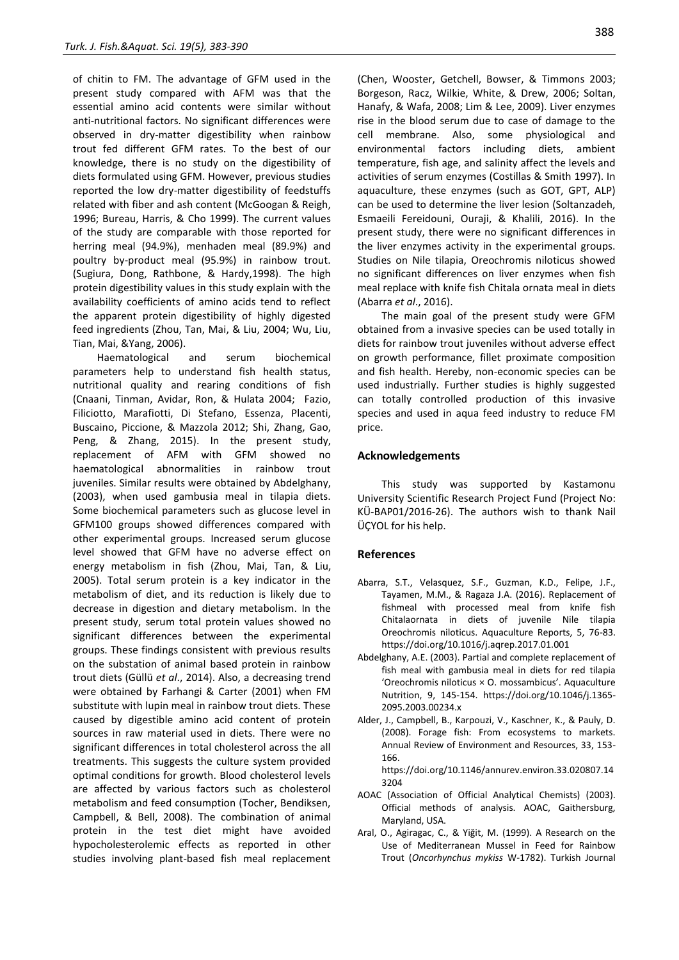of chitin to FM. The advantage of GFM used in the present study compared with AFM was that the essential amino acid contents were similar without anti-nutritional factors. No significant differences were observed in dry-matter digestibility when rainbow trout fed different GFM rates. To the best of our knowledge, there is no study on the digestibility of diets formulated using GFM. However, previous studies reported the low dry-matter digestibility of feedstuffs related with fiber and ash content (McGoogan & Reigh, 1996; Bureau, Harris, & Cho 1999). The current values of the study are comparable with those reported for herring meal (94.9%), menhaden meal (89.9%) and poultry by-product meal (95.9%) in rainbow trout. (Sugiura, Dong, Rathbone, & Hardy,1998). The high protein digestibility values in this study explain with the availability coefficients of amino acids tend to reflect the apparent protein digestibility of highly digested feed ingredients (Zhou, Tan, Mai, & Liu, 2004; Wu, Liu, Tian, Mai, &Yang, 2006).

Haematological and serum biochemical parameters help to understand fish health status, nutritional quality and rearing conditions of fish (Cnaani, Tinman, Avidar, Ron, & Hulata 2004; Fazio, Filiciotto, Marafiotti, Di Stefano, Essenza, Placenti, Buscaino, Piccione, & Mazzola 2012; Shi, Zhang, Gao, Peng, & Zhang, 2015). In the present study, replacement of AFM with GFM showed no haematological abnormalities in rainbow trout juveniles. Similar results were obtained by Abdelghany, (2003), when used gambusia meal in tilapia diets. Some biochemical parameters such as glucose level in GFM100 groups showed differences compared with other experimental groups. Increased serum glucose level showed that GFM have no adverse effect on energy metabolism in fish (Zhou, Mai, Tan, & Liu, 2005). Total serum protein is a key indicator in the metabolism of diet, and its reduction is likely due to decrease in digestion and dietary metabolism. In the present study, serum total protein values showed no significant differences between the experimental groups. These findings consistent with previous results on the substation of animal based protein in rainbow trout diets (Güllü *et al*., 2014). Also, a decreasing trend were obtained by Farhangi & Carter (2001) when FM substitute with lupin meal in rainbow trout diets. These caused by digestible amino acid content of protein sources in raw material used in diets. There were no significant differences in total cholesterol across the all treatments. This suggests the culture system provided optimal conditions for growth. Blood cholesterol levels are affected by various factors such as cholesterol metabolism and feed consumption (Tocher, Bendiksen, Campbell, & Bell, 2008). The combination of animal protein in the test diet might have avoided hypocholesterolemic effects as reported in other studies involving plant-based fish meal replacement (Chen, Wooster, Getchell, Bowser, & Timmons 2003; Borgeson, Racz, Wilkie, White, & Drew, 2006; Soltan, Hanafy, & Wafa, 2008; Lim & Lee, 2009). Liver enzymes rise in the blood serum due to case of damage to the cell membrane. Also, some physiological and environmental factors including diets, ambient temperature, fish age, and salinity affect the levels and activities of serum enzymes (Costillas & Smith 1997). In aquaculture, these enzymes (such as GOT, GPT, ALP) can be used to determine the liver lesion (Soltanzadeh, Esmaeili Fereidouni, Ouraji, & Khalili, 2016). In the present study, there were no significant differences in the liver enzymes activity in the experimental groups. Studies on Nile tilapia, Oreochromis niloticus showed no significant differences on liver enzymes when fish meal replace with knife fish Chitala ornata meal in diets (Abarra *et al*., 2016).

The main goal of the present study were GFM obtained from a invasive species can be used totally in diets for rainbow trout juveniles without adverse effect on growth performance, fillet proximate composition and fish health. Hereby, non-economic species can be used industrially. Further studies is highly suggested can totally controlled production of this invasive species and used in aqua feed industry to reduce FM price.

# **Acknowledgements**

This study was supported by Kastamonu University Scientific Research Project Fund (Project No: KÜ-BAP01/2016-26). The authors wish to thank Nail ÜÇYOL for his help.

# **References**

- Abarra, S.T., Velasquez, S.F., Guzman, K.D., Felipe, J.F., Tayamen, M.M., & Ragaza J.A. (2016). Replacement of fishmeal with processed meal from knife fish Chitalaornata in diets of juvenile Nile tilapia Oreochromis niloticus. Aquaculture Reports, 5, 76-83. https://doi.org/10.1016/j.aqrep.2017.01.001
- Abdelghany, A.E. (2003). Partial and complete replacement of fish meal with gambusia meal in diets for red tilapia 'Oreochromis niloticus × O. mossambicus'. Aquaculture Nutrition, 9, 145-154. https://doi.org/10.1046/j.1365- 2095.2003.00234.x
- Alder, J., Campbell, B., Karpouzi, V., Kaschner, K., & Pauly, D. (2008). Forage fish: From ecosystems to markets. Annual Review of Environment and Resources, 33, 153- 166.

https://doi.org/10.1146/annurev.environ.33.020807.14 3204

- AOAC (Association of Official Analytical Chemists) (2003). Official methods of analysis. AOAC, Gaithersburg, Maryland, USA.
- Aral, O., Agiragac, C., & Yiğit, M. (1999). A Research on the Use of Mediterranean Mussel in Feed for Rainbow Trout (*Oncorhynchus mykiss* W-1782). Turkish Journal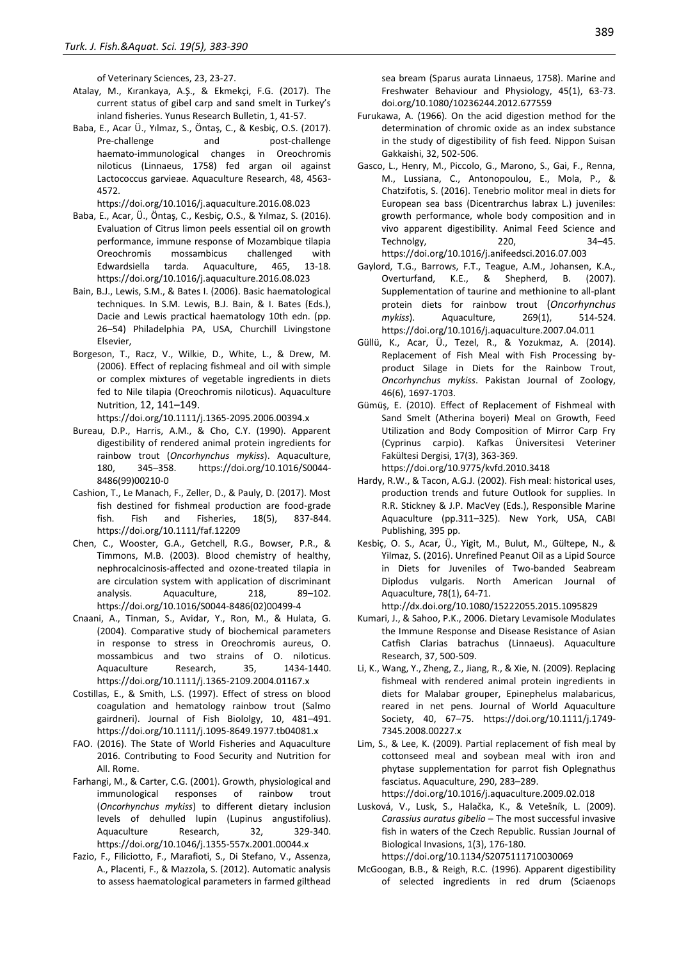of Veterinary Sciences, 23, 23-27.

- Atalay, M., Kırankaya, A.Ş., & Ekmekçi, F.G. (2017). The current status of gibel carp and sand smelt in Turkey's inland fisheries. Yunus Research Bulletin, 1, 41-57.
- Baba, E., Acar Ü., Yılmaz, S., Öntaş, C., & Kesbiç, O.S. (2017). Pre-challenge and post-challenge haemato‐immunological changes in Oreochromis niloticus (Linnaeus, 1758) fed argan oil against Lactococcus garvieae. Aquaculture Research, 48, 4563- 4572.

https://doi.org/10.1016/j.aquaculture.2016.08.023

- Baba, E., Acar, Ü., Öntaş, C., Kesbiç, O.S., & Yılmaz, S. (2016). Evaluation of Citrus limon peels essential oil on growth performance, immune response of Mozambique tilapia Oreochromis mossambicus challenged with Edwardsiella tarda. Aquaculture, 465, 13-18. https://doi.org/10.1016/j.aquaculture.2016.08.023
- Bain, B.J., Lewis, S.M., & Bates I. (2006). Basic haematological techniques. In S.M. Lewis, B.J. Bain, & I. Bates (Eds.), Dacie and Lewis practical haematology 10th edn. (pp. 26–54) Philadelphia PA, USA, Churchill Livingstone Elsevier,
- Borgeson, T., Racz, V., Wilkie, D., White, L., & Drew, M. (2006). Effect of replacing fishmeal and oil with simple or complex mixtures of vegetable ingredients in diets fed to Nile tilapia (Oreochromis niloticus). Aquaculture Nutrition, 12, 141–149.

https://doi.org/10.1111/j.1365-2095.2006.00394.x

- Bureau, D.P., Harris, A.M., & Cho, C.Y. (1990). Apparent digestibility of rendered animal protein ingredients for rainbow trout (*Oncorhynchus mykiss*). Aquaculture, 180, 345–358. https://doi.org/10.1016/S0044- 8486(99)00210-0
- Cashion, T., Le Manach, F., Zeller, D., & Pauly, D. (2017). Most fish destined for fishmeal production are food-grade fish. Fish and Fisheries, 18(5), 837-844. https://doi.org/10.1111/faf.12209
- Chen, C., Wooster, G.A., Getchell, R.G., Bowser, P.R., & Timmons, M.B. (2003). Blood chemistry of healthy, nephrocalcinosis-affected and ozone-treated tilapia in are circulation system with application of discriminant analysis. Aquaculture, 218, 89–102. https://doi.org/10.1016/S0044-8486(02)00499-4
- Cnaani, A., Tinman, S., Avidar, Y., Ron, M., & Hulata, G. (2004). Comparative study of biochemical parameters in response to stress in Oreochromis aureus, O. mossambicus and two strains of O. niloticus. Aquaculture Research, 35, 1434-1440. https://doi.org/10.1111/j.1365-2109.2004.01167.x
- Costillas, E., & Smith, L.S. (1997). Effect of stress on blood coagulation and hematology rainbow trout (Salmo gairdneri). Journal of Fish Biololgy, 10, 481–491. https://doi.org/10.1111/j.1095-8649.1977.tb04081.x
- FAO. (2016). The State of World Fisheries and Aquaculture 2016. Contributing to Food Security and Nutrition for All. Rome.
- Farhangi, M., & Carter, C.G. (2001). Growth, physiological and immunological responses of rainbow trout (*Oncorhynchus mykiss*) to different dietary inclusion levels of dehulled lupin (Lupinus angustifolius). Aquaculture Research, 32, 329-340. https://doi.org/10.1046/j.1355-557x.2001.00044.x
- Fazio, F., Filiciotto, F., Marafioti, S., Di Stefano, V., Assenza, A., Placenti, F., & Mazzola, S. (2012). Automatic analysis to assess haematological parameters in farmed gilthead

sea bream (Sparus aurata Linnaeus, 1758). Marine and Freshwater Behaviour and Physiology, 45(1), 63-73. doi.org/10.1080/10236244.2012.677559

- Furukawa, A. (1966). On the acid digestion method for the determination of chromic oxide as an index substance in the study of digestibility of fish feed. Nippon Suisan Gakkaishi, 32, 502-506.
- Gasco, L., Henry, M., Piccolo, G., Marono, S., Gai, F., Renna, M., Lussiana, C., Antonopoulou, E., Mola, P., & Chatzifotis, S. (2016). Tenebrio molitor meal in diets for European sea bass (Dicentrarchus labrax L.) juveniles: growth performance, whole body composition and in vivo apparent digestibility. Animal Feed Science and Technolgy, 220, 34–45. https://doi.org/10.1016/j.anifeedsci.2016.07.003
- Gaylord, T.G., Barrows, F.T., Teague, A.M., Johansen, K.A., Overturfand, K.E., & Shepherd, B. (2007). Supplementation of taurine and methionine to all-plant protein diets for rainbow trout (*Oncorhynchus mykiss*). Aquaculture, 269(1), 514-524. https://doi.org/10.1016/j.aquaculture.2007.04.011
- Güllü, K., Acar, Ü., Tezel, R., & Yozukmaz, A. (2014). Replacement of Fish Meal with Fish Processing byproduct Silage in Diets for the Rainbow Trout, *Oncorhynchus mykiss*. Pakistan Journal of Zoology, 46(6), 1697-1703.
- Gümüş, E. (2010). Effect of Replacement of Fishmeal with Sand Smelt (Atherina boyeri) Meal on Growth, Feed Utilization and Body Composition of Mirror Carp Fry (Cyprinus carpio). Kafkas Üniversitesi Veteriner Fakültesi Dergisi, 17(3), 363-369.

https://doi.org/10.9775/kvfd.2010.3418

- Hardy, R.W., & Tacon, A.G.J. (2002). Fish meal: historical uses, production trends and future Outlook for supplies. In R.R. Stickney & J.P. MacVey (Eds.), Responsible Marine Aquaculture (pp.311–325). New York, USA, CABI Publishing, 395 pp.
- Kesbiç, O. S., Acar, Ü., Yigit, M., Bulut, M., Gültepe, N., & Yilmaz, S. (2016). Unrefined Peanut Oil as a Lipid Source in Diets for Juveniles of Two-banded Seabream Diplodus vulgaris. North American Journal of Aquaculture, 78(1), 64-71.

http://dx.doi.org/10.1080/15222055.2015.1095829

- Kumari, J., & Sahoo, P.K., 2006. Dietary Levamisole Modulates the Immune Response and Disease Resistance of Asian Catfish Clarias batrachus (Linnaeus). Aquaculture Research, 37, 500-509.
- Li, K., Wang, Y., Zheng, Z., Jiang, R., & Xie, N. (2009). Replacing fishmeal with rendered animal protein ingredients in diets for Malabar grouper, Epinephelus malabaricus, reared in net pens. Journal of World Aquaculture Society, 40, 67–75. https://doi.org/10.1111/j.1749- 7345.2008.00227.x
- Lim, S., & Lee, K. (2009). Partial replacement of fish meal by cottonseed meal and soybean meal with iron and phytase supplementation for parrot fish Oplegnathus fasciatus. Aquaculture, 290, 283–289. https://doi.org/10.1016/j.aquaculture.2009.02.018

Lusková, V., Lusk, S., Halačka, K., & Vetešník, L. (2009). *Carassius auratus gibelio* ─ The most successful invasive fish in waters of the Czech Republic. Russian Journal of Biological Invasions, 1(3), 176-180. https://doi.org/10.1134/S2075111710030069

McGoogan, B.B., & Reigh, R.C. (1996). Apparent digestibility of selected ingredients in red drum (Sciaenops